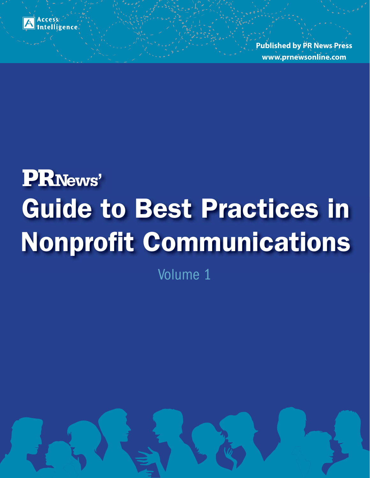

**Published by PR News Press www.prnewsonline.com**

# **Guide to Best Practices in Nonprofit Communications '**

Volume 1

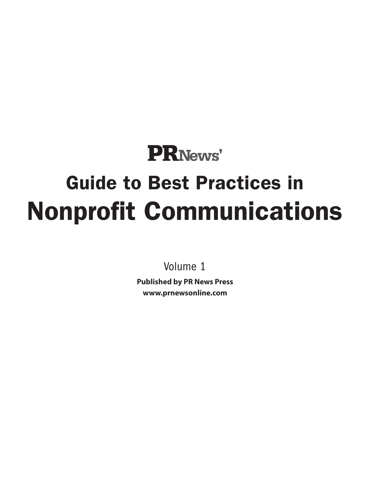## **PRNews' Guide to Best Practices in Nonprofit Communications**

Volume 1

**Published by PR News Press www.prnewsonline.com**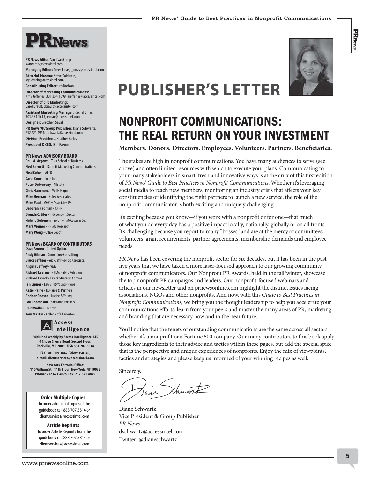

**PR News Editor:** Scott Van Camp, svancamp@accessintel.com

**Managing Editor:** Greer Jonas, gjonas@accessintel.com **Editorial Director:** Steve Goldstein,

sgoldstein@accessintel.com **Contributing Editor:** Iris Dorbian

**Director of Marketing Communications:**  Amy Jefferies, 301.354.1699, ajefferies@accessintel.com **Director of Circ Marketing:**

Carol Brault, cbrault@accessintel.com **Assistant Marketing Manager**: Rachel Smar, 301.354.1613, rsmar@accessintel.com

**Designer:** Gretchen Saval **PR News VP/Group Publisher:** Diane Schwartz, 212.621.4964; dschwartz@accessintel.com

**Division President,** Heather Farley **President & CEO,** Don Pazour

#### **PR News ADVISORY BOARD**

**Paul A. Argenti** - Tuck School of Business **Ned Barnett** - Barnett Marketing Communications **Neal Cohen** - APCO **Carol Cone** - Cone Inc. **Peter Debreceny** - Allstate **Chris Hammond** - Wells Fargo **Mike Herman** - Epley Associates **Mike Paul** - MGP & Associates PR **Deborah Radman** - CKPR **Brenda C. Siler** - Independent Sector **Helene Solomon** - Solomon McCown & Co**. Mark Weiner** - PRIME Research **Mary Wong** - Office Depot

#### **PR News BOARD OF CONTRIBUTORS**

**Dave Armon** - Context Optional **Andy Gilman** - CommCore Consulting **Bruce Jeffries-Fox** - Jeffries-Fox Associates **Angela Jeffrey** - VMS **Richard Laermer** - RLM Public Relations **Richard Levick** - Levick Strategic Comms **Ian Lipner - Lewis PR/YoungPRpros Katie Paine** - KDPaine & Partners **Rodger Roeser** - Justice & Young **Lou Thompson** - Kalorama Partners **Reid Walker** - Lenovo **Tom Martin** - College of Charleston



**Published weekly by Access Intelligence, LLC 4 Choke Cherry Road, Second Floor,** 

**Rockville, MD 20850 USA 888.707.5814 FAX: 301.309.3847 Telex: 358149; e-mail: clientservices@accessintel.com**

**New York Editorial Office: 110 William St., 11th Floor, New York, NY 10038 Phone: 212.621.4875 Fax: 212.621.4879**

> **Order Multiple Copies** To order additional copies of this guidebook call 888.707.5814 or clientservices@accessintel.com

**Article Reprints** To order Article Reprints from this guidebook call 888.707.5814 or clientservices@accessintel.com



**PRNews** 

### **PUBLISHER'S LETTER**

### **NONPROFIT COMMUNICATIONS: THE REAL RETURN ON YOUR INVESTMENT**

### **Members. Donors. Directors. Employees. Volunteers. Partners. Beneficiaries.**

The stakes are high in nonprofit communications. You have many audiences to serve (see above) and often limited resources with which to execute your plans. Communicating to your many stakeholders in smart, fresh and innovative ways is at the crux of this first edition of PR News' Guide to Best Practices in Nonprofit Communications. Whether it's leveraging social media to reach new members, monitoring an industry crisis that affects your key constituencies or identifying the right partners to launch a new service, the role of the nonprofit communicator is both exciting and uniquely challenging.

It's exciting because you know—if you work with a nonprofit or for one—that much of what you do every day has a positive impact locally, nationally, globally or on all fronts. It's challenging because you report to many "bosses" and are at the mercy of committees, volunteers, grant requirements, partner agreements, membership demands and employee needs.

PR News has been covering the nonprofit sector for six decades, but it has been in the past five years that we have taken a more laser-focused approach to our growing community of nonprofit communicators. Our Nonprofit PR Awards, held in the fall/winter, showcase the top nonprofit PR campaigns and leaders. Our nonprofit-focused webinars and articles in our newsletter and on prnewsonline.com highlight the distinct issues facing associations, NGOs and other nonprofits. And now, with this Guide to Best Practices in Nonprofit Communications, we bring you the thought leadership to help you accelerate your communications efforts, learn from your peers and master the many areas of PR, marketing and branding that are necessary now and in the near future.

You'll notice that the tenets of outstanding communications are the same across all sectors whether it's a nonprofit or a Fortune 500 company. Our many contributors to this book apply those key ingredients to their advice and tactics within these pages, but add the special spice that is the perspective and unique experiences of nonprofits. Enjoy the mix of viewpoints, tactics and strategies and please keep us informed of your winning recipes as well.

Sincerely,

aine druant

Diane Schwartz Vice President & Group Publisher PR News dschwartz@accessintel.com Twitter: @dianeschwartz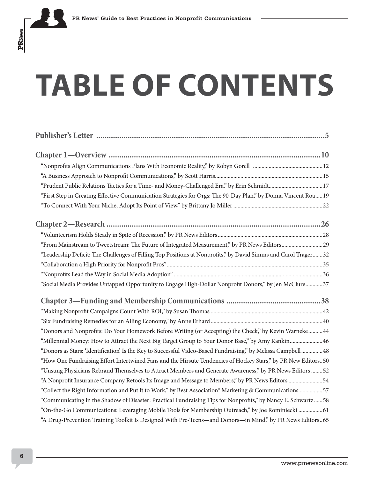# **TABLE OF CONTENTS**

**Publisher's Letter .............................................................................................................5**

| "Prudent Public Relations Tactics for a Time- and Money-Challenged Era," by Erin Schmidt17                     |
|----------------------------------------------------------------------------------------------------------------|
| "First Step in Creating Effective Communication Strategies for Orgs: The 90-Day Plan," by Donna Vincent Roa19  |
|                                                                                                                |
|                                                                                                                |
|                                                                                                                |
|                                                                                                                |
| "Leadership Deficit: The Challenges of Filling Top Positions at Nonprofits," by David Simms and Carol Trager32 |
|                                                                                                                |
|                                                                                                                |
| "Social Media Provides Untapped Opportunity to Engage High-Dollar Nonprofit Donors," by Jen McClure37          |
|                                                                                                                |
|                                                                                                                |
|                                                                                                                |
| "Donors and Nonprofits: Do Your Homework Before Writing (or Accepting) the Check," by Kevin Warneke44          |
| "Millennial Money: How to Attract the Next Big Target Group to Your Donor Base," by Amy Rankin46               |
| "Donors as Stars: 'Identification' Is the Key to Successful Video-Based Fundraising," by Melissa Campbell 48   |
| "How One Fundraising Effort Intertwined Fans and the Hirsute Tendencies of Hockey Stars," by PR New Editors50  |
| "Unsung Physicians Rebrand Themselves to Attract Members and Generate Awareness," by PR News Editors 52        |
| "A Nonprofit Insurance Company Retools Its Image and Message to Members," by PR News Editors 54                |
| "Collect the Right Information and Put It to Work," by Best Association® Marketing & Communications57          |
| "Communicating in the Shadow of Disaster: Practical Fundraising Tips for Nonprofits," by Nancy E. Schwartz 58  |
| "On-the-Go Communications: Leveraging Mobile Tools for Membership Outreach," by Joe Rominiecki 61              |
| "A Drug-Prevention Training Toolkit Is Designed With Pre-Teens-and Donors-in Mind," by PR News Editors65       |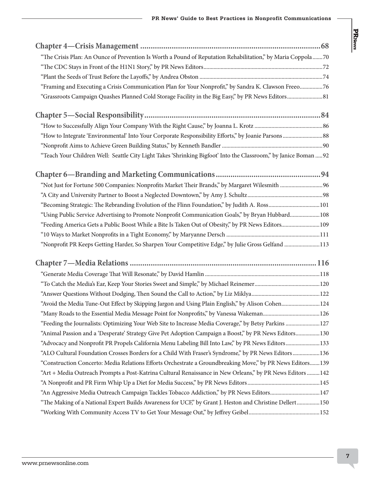| "The Crisis Plan: An Ounce of Prevention Is Worth a Pound of Reputation Rehabilitation," by Maria Coppola70      |  |
|------------------------------------------------------------------------------------------------------------------|--|
|                                                                                                                  |  |
|                                                                                                                  |  |
| "Framing and Executing a Crisis Communication Plan for Your Nonprofit," by Sandra K. Clawson Freeo76             |  |
|                                                                                                                  |  |
|                                                                                                                  |  |
|                                                                                                                  |  |
|                                                                                                                  |  |
|                                                                                                                  |  |
| "Teach Your Children Well: Seattle City Light Takes 'Shrinking Bigfoot' Into the Classroom," by Janice Boman  92 |  |
|                                                                                                                  |  |
|                                                                                                                  |  |
|                                                                                                                  |  |
|                                                                                                                  |  |
| "Using Public Service Advertising to Promote Nonprofit Communication Goals," by Bryan Hubbard108                 |  |
| "Feeding America Gets a Public Boost While a Bite Is Taken Out of Obesity," by PR News Editors 109               |  |
|                                                                                                                  |  |
| "Nonprofit PR Keeps Getting Harder, So Sharpen Your Competitive Edge," by Julie Gross Gelfand 113                |  |
|                                                                                                                  |  |
|                                                                                                                  |  |
|                                                                                                                  |  |
|                                                                                                                  |  |
| "Avoid the Media Tune-Out Effect by Skipping Jargon and Using Plain English," by Alison Cohen124                 |  |
|                                                                                                                  |  |
| "Feeding the Journalists: Optimizing Your Web Site to Increase Media Coverage," by Betsy Parkins 127             |  |
| "Animal Passion and a 'Desperate' Strategy Give Pet Adoption Campaign a Boost," by PR News Editors130            |  |
| "Advocacy and Nonprofit PR Propels California Menu Labeling Bill Into Law," by PR News Editors133                |  |
| "ALO Cultural Foundation Crosses Borders for a Child With Fraser's Syndrome," by PR News Editors136              |  |
| "Construction Concerto: Media Relations Efforts Orchestrate a Groundbreaking Move," by PR News Editors139        |  |
| "Art + Media Outreach Prompts a Post-Katrina Cultural Renaissance in New Orleans," by PR News Editors 142        |  |
|                                                                                                                  |  |
| "An Aggressive Media Outreach Campaign Tackles Tobacco Addiction," by PR News Editors147                         |  |
| "The Making of a National Expert Builds Awareness for UCF," by Grant J. Heston and Christine Dellert 150         |  |
|                                                                                                                  |  |